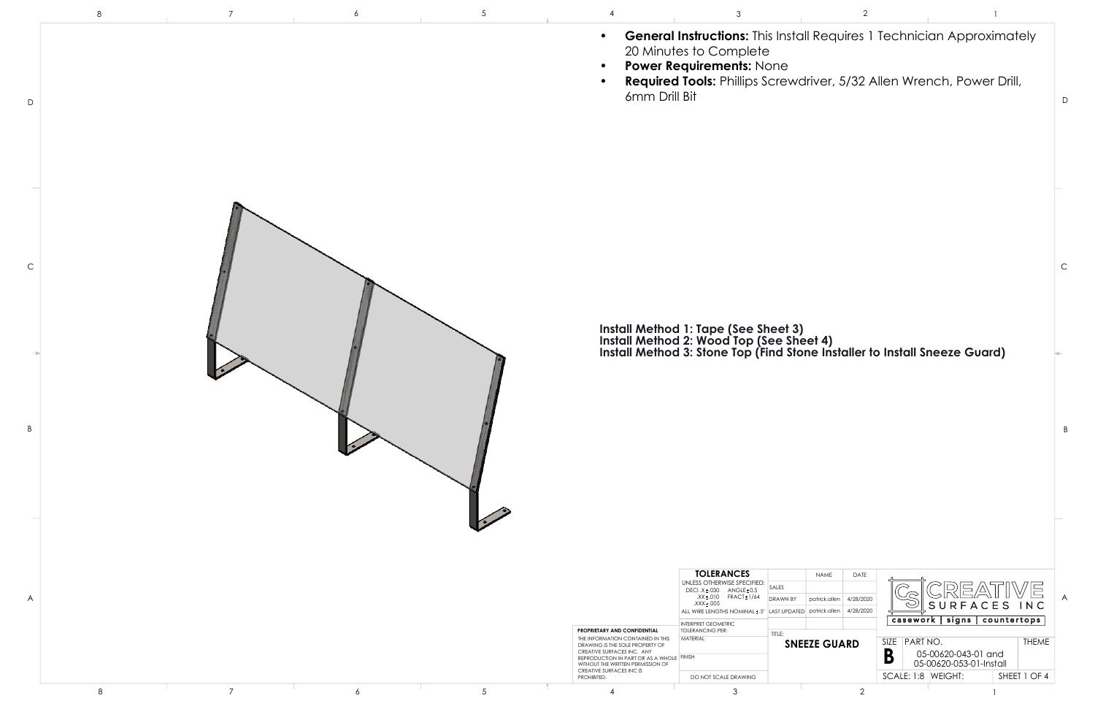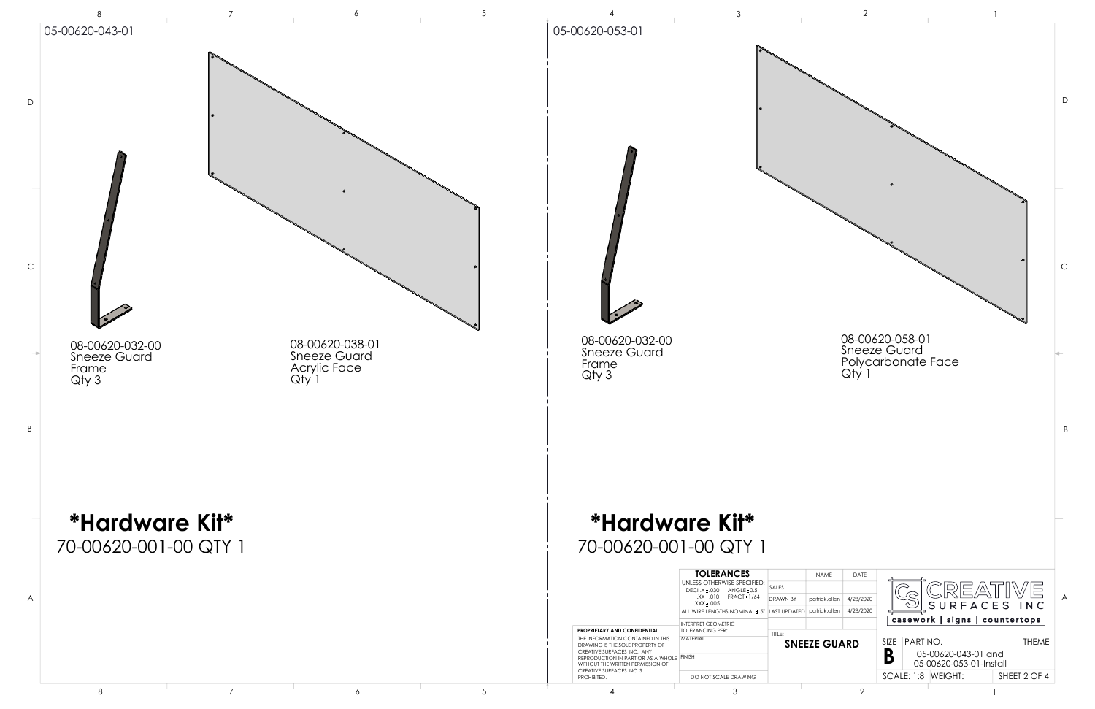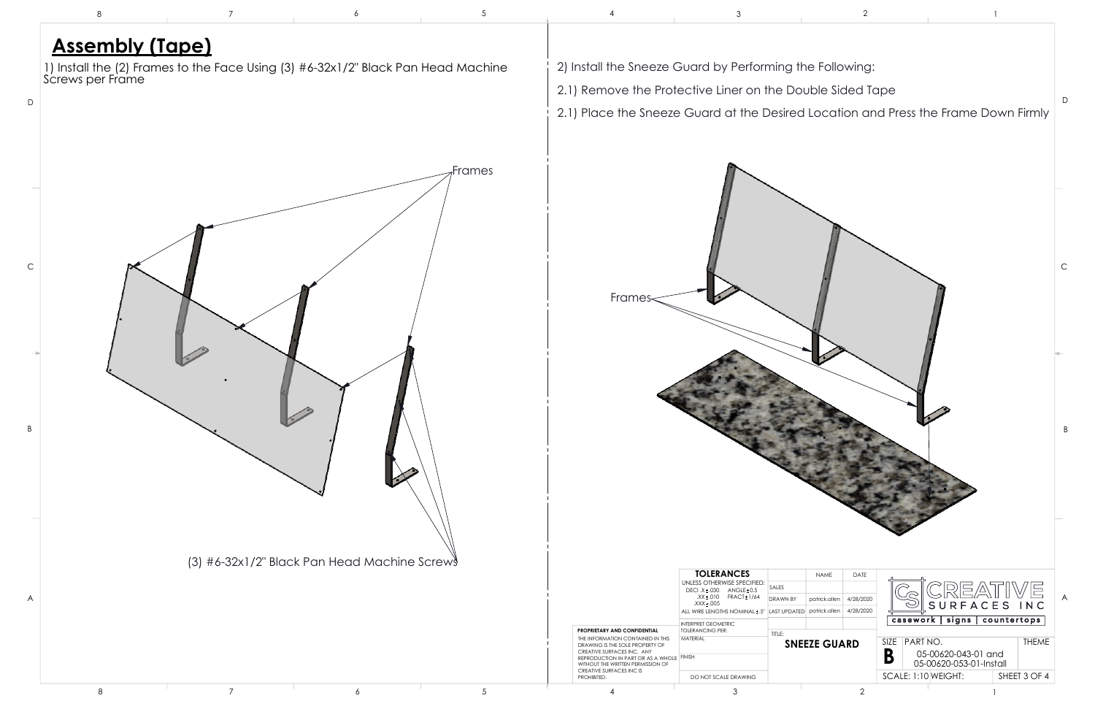